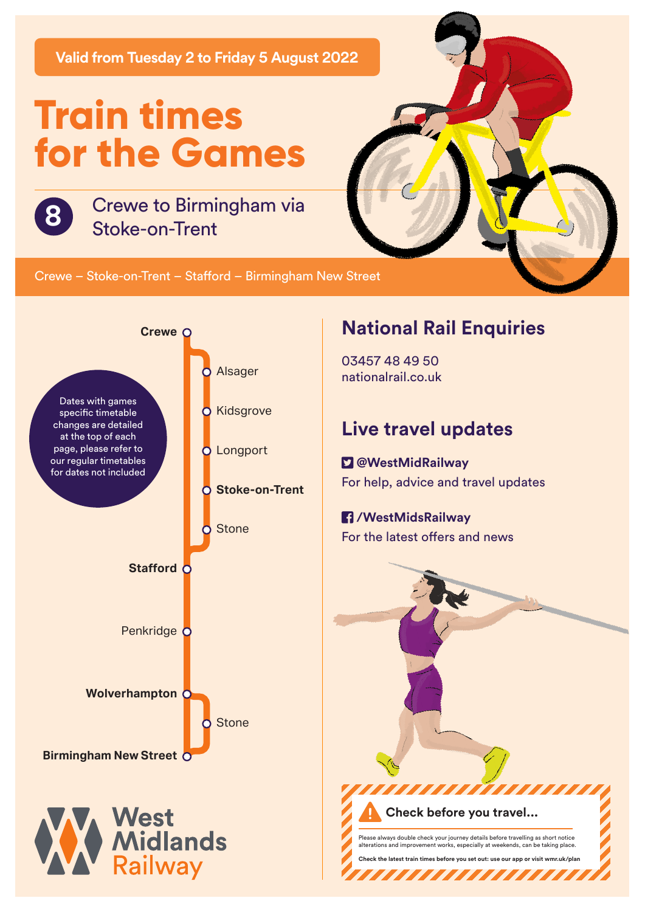**Valid from Tuesday 2 to Friday 5 August 2022**

# **Train times for the Games**



Crewe to Birmingham via **8** Stoke-on-Trent

Crewe – Stoke-on-Trent – Stafford – Birmingham New Street



### **National Rail Enquiries**

03457 48 49 50 nationalrail.co.uk

## **Live travel updates**

 **@WestMidRailway** For help, advice and travel updates

#### **/WestMidsRailway**

For the latest offers and news